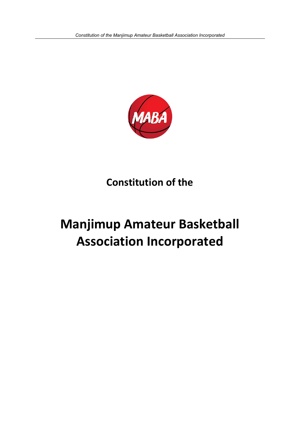

**Constitution of the** 

# **Manjimup Amateur Basketball Association Incorporated**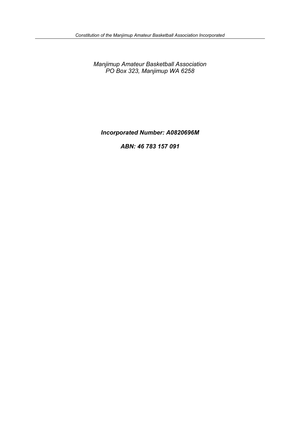*Manjimup Amateur Basketball Association PO Box 323, Manjimup WA 6258*

*Incorporated Number: A0820696M*

*ABN: 46 783 157 091*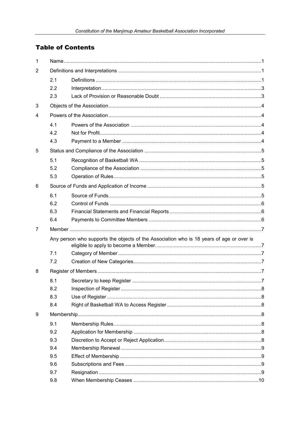# **Table of Contents**

| 1 |                                                                                          |  |  |  |  |
|---|------------------------------------------------------------------------------------------|--|--|--|--|
| 2 |                                                                                          |  |  |  |  |
|   | 2.1                                                                                      |  |  |  |  |
|   | 2.2                                                                                      |  |  |  |  |
|   | 2.3                                                                                      |  |  |  |  |
| 3 |                                                                                          |  |  |  |  |
| 4 |                                                                                          |  |  |  |  |
|   | 4.1                                                                                      |  |  |  |  |
|   | 4.2                                                                                      |  |  |  |  |
|   | 4.3                                                                                      |  |  |  |  |
| 5 |                                                                                          |  |  |  |  |
|   | 5.1                                                                                      |  |  |  |  |
|   | 5.2                                                                                      |  |  |  |  |
|   | 5.3                                                                                      |  |  |  |  |
| 6 |                                                                                          |  |  |  |  |
|   | 6.1                                                                                      |  |  |  |  |
|   | 6.2                                                                                      |  |  |  |  |
|   | 6.3                                                                                      |  |  |  |  |
|   | 6.4                                                                                      |  |  |  |  |
| 7 |                                                                                          |  |  |  |  |
|   | Any person who supports the objects of the Association who is 18 years of age or over is |  |  |  |  |
|   |                                                                                          |  |  |  |  |
|   | 7.1                                                                                      |  |  |  |  |
|   | 7.2                                                                                      |  |  |  |  |
| 8 |                                                                                          |  |  |  |  |
|   | 8.1                                                                                      |  |  |  |  |
|   | 8.2                                                                                      |  |  |  |  |
|   | 8.3                                                                                      |  |  |  |  |
|   | 8.4                                                                                      |  |  |  |  |
| 9 |                                                                                          |  |  |  |  |
|   | 9.1                                                                                      |  |  |  |  |
|   | 9.2                                                                                      |  |  |  |  |
|   | 9.3                                                                                      |  |  |  |  |
|   | 9.4                                                                                      |  |  |  |  |
|   | 9.5                                                                                      |  |  |  |  |
|   | 9.6                                                                                      |  |  |  |  |
|   | 9.7                                                                                      |  |  |  |  |
|   | 9.8                                                                                      |  |  |  |  |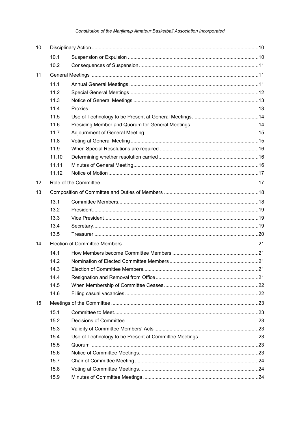## Constitution of the Manjimup Amateur Basketball Association Incorporated

| 10 |       |  |  |
|----|-------|--|--|
|    | 10.1  |  |  |
|    | 10.2  |  |  |
| 11 |       |  |  |
|    | 11.1  |  |  |
|    | 11.2  |  |  |
|    | 11.3  |  |  |
|    | 11.4  |  |  |
|    | 11.5  |  |  |
|    | 11.6  |  |  |
|    | 11.7  |  |  |
|    | 11.8  |  |  |
|    | 11.9  |  |  |
|    | 11.10 |  |  |
|    | 11.11 |  |  |
|    | 11.12 |  |  |
| 12 |       |  |  |
| 13 |       |  |  |
|    | 13.1  |  |  |
|    | 13.2  |  |  |
|    | 13.3  |  |  |
|    | 13.4  |  |  |
|    | 13.5  |  |  |
| 14 |       |  |  |
|    | 14.1  |  |  |
|    | 14.2  |  |  |
|    | 14.3  |  |  |
|    | 14.4  |  |  |
|    | 14.5  |  |  |
|    | 14.6  |  |  |
| 15 |       |  |  |
|    | 15.1  |  |  |
|    | 15.2  |  |  |
|    | 15.3  |  |  |
|    | 15.4  |  |  |
|    | 15.5  |  |  |
|    | 15.6  |  |  |
|    | 15.7  |  |  |
|    | 15.8  |  |  |
|    | 15.9  |  |  |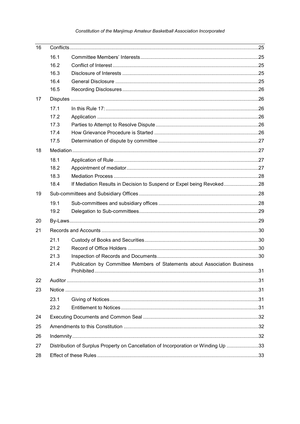## Constitution of the Manjimup Amateur Basketball Association Incorporated

| 16 |                                                                                    |                                                                           |  |  |
|----|------------------------------------------------------------------------------------|---------------------------------------------------------------------------|--|--|
|    | 16.1                                                                               |                                                                           |  |  |
|    | 16.2                                                                               |                                                                           |  |  |
|    | 16.3                                                                               |                                                                           |  |  |
|    | 16.4                                                                               |                                                                           |  |  |
|    | 16.5                                                                               |                                                                           |  |  |
| 17 |                                                                                    |                                                                           |  |  |
|    | 17.1                                                                               |                                                                           |  |  |
|    | 17.2                                                                               |                                                                           |  |  |
|    | 17.3                                                                               |                                                                           |  |  |
|    | 17.4                                                                               |                                                                           |  |  |
|    | 17.5                                                                               |                                                                           |  |  |
| 18 |                                                                                    |                                                                           |  |  |
|    | 18.1                                                                               |                                                                           |  |  |
|    | 18.2                                                                               |                                                                           |  |  |
|    | 18.3                                                                               |                                                                           |  |  |
|    | 18.4                                                                               | If Mediation Results in Decision to Suspend or Expel being Revoked28      |  |  |
| 19 |                                                                                    |                                                                           |  |  |
|    | 19.1                                                                               |                                                                           |  |  |
|    | 19.2                                                                               |                                                                           |  |  |
| 20 |                                                                                    |                                                                           |  |  |
| 21 |                                                                                    |                                                                           |  |  |
|    | 21.1                                                                               |                                                                           |  |  |
|    | 21.2                                                                               |                                                                           |  |  |
|    | 21.3                                                                               |                                                                           |  |  |
|    | 21.4                                                                               | Publication by Committee Members of Statements about Association Business |  |  |
|    |                                                                                    |                                                                           |  |  |
| 22 |                                                                                    |                                                                           |  |  |
| 23 |                                                                                    |                                                                           |  |  |
|    | 23.1                                                                               |                                                                           |  |  |
|    | 23.2                                                                               |                                                                           |  |  |
| 24 |                                                                                    |                                                                           |  |  |
| 25 |                                                                                    |                                                                           |  |  |
| 26 |                                                                                    |                                                                           |  |  |
| 27 | Distribution of Surplus Property on Cancellation of Incorporation or Winding Up 33 |                                                                           |  |  |
| 28 |                                                                                    |                                                                           |  |  |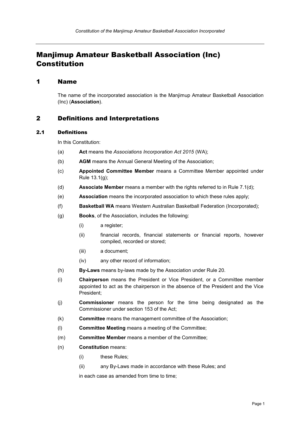# Manjimup Amateur Basketball Association (Inc) Constitution

## <span id="page-5-0"></span>1 Name

The name of the incorporated association is the Manjimup Amateur Basketball Association (Inc) (**Association**).

## <span id="page-5-1"></span>2 Definitions and Interpretations

#### <span id="page-5-2"></span>2.1 Definitions

In this Constitution:

- (a) **Act** means the *Associations Incorporation Act 2015* (WA);
- (b) **AGM** means the Annual General Meeting of the Association;
- (c) **Appointed Committee Member** means a Committee Member appointed under Rule [13.1\(g\);](#page-22-2)
- (d) **Associate Member** means a member with the rights referred to in Rule [7.1\(d\);](#page-11-6)
- (e) **Association** means the incorporated association to which these rules apply;
- (f) **Basketball WA** means Western Australian Basketball Federation (Incorporated);
- (g) **Books**, of the Association, includes the following:
	- (i) a register;
	- (ii) financial records, financial statements or financial reports, however compiled, recorded or stored;
	- (iii) a document;
	- (iv) any other record of information;
- (h) **By-Laws** means by-laws made by the Association under Rule [20.](#page-33-1)
- (i) **Chairperson** means the President or Vice President, or a Committee member appointed to act as the chairperson in the absence of the President and the Vice President;
- (j) **Commissioner** means the person for the time being designated as the Commissioner under section 153 of the Act;
- (k) **Committee** means the management committee of the Association;
- (l) **Committee Meeting** means a meeting of the Committee;
- (m) **Committee Member** means a member of the Committee;
- (n) **Constitution** means:
	- (i) these Rules;
	- (ii) any By-Laws made in accordance with these Rules; and

in each case as amended from time to time;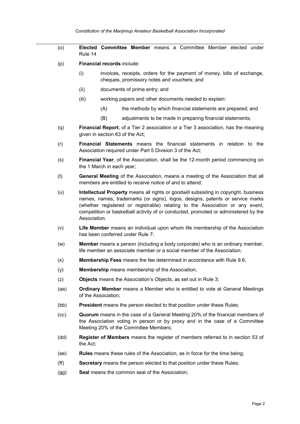- (o) **Elected Committee Member** means a Committee Member elected under Rule [14](#page-25-0)
- (p) **Financial records** include:
	- (i) invoices, receipts, orders for the payment of money, bills of exchange, cheques, promissory notes and vouchers; and
	- (ii) documents of prime entry; and
	- (iii) working papers and other documents needed to explain:
		- (A) the methods by which financial statements are prepared; and
		- (B) adjustments to be made in preparing financial statements;
- (q) **Financial Report**, of a Tier 2 association or a Tier 3 association, has the meaning given in section 63 of the Act;
- (r) **Financial Statements** means the financial statements in relation to the Association required under Part 5 Division 3 of the Act;
- (s) **Financial Year**, of the Association, shall be the 12-month period commencing on the 1 March in each year;
- (t) **General Meeting** of the Association, means a meeting of the Association that all members are entitled to receive notice of and to attend;
- (u) **Intellectual Property** means all rights or goodwill subsisting in copyright, business names, names, trademarks (or signs), logos, designs, patents or service marks (whether registered or registrable) relating to the Association or any event, competition or basketball activity of or conducted, promoted or administered by the Association.
- (v) **Life Member** means an individual upon whom life membership of the Association has been conferred under Rule [7;](#page-11-0)
- (w) **Member** means a person (including a body corporate) who is an ordinary member, life member an associate member or a social member of the Association;
- (x) **Membership Fees** means the fee determined in accordance with Rule [9.6;](#page-13-2)
- (y) **Membership** means membership of the Association;
- (z) **Objects** means the Association's Objects, as set out in Rule [3;](#page-8-0)
- (aa) **Ordinary Member** means a Member who is entitled to vote at General Meetings of the Association;
- (bb) **President** means the person elected to that position under these Rules;
- (cc) **Quorum** means in the case of a General Meeting 20% of the financial members of the Association voting in person or by proxy and in the case of a Committee Meeting 20% of the Committee Members;
- (dd) **Register of Members** means the register of members referred to in section 53 of the Act;
- (ee) **Rules** means these rules of the Association, as in force for the time being;
- (ff) **Secretary** means the person elected to that position under these Rules;
- (gg) **Seal** means the common seal of the Association;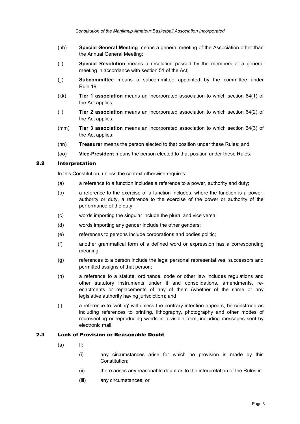- (hh) **Special General Meeting** means a general meeting of the Association other than the Annual General Meeting;
- (ii) **Special Resolution** means a resolution passed by the members at a general meeting in accordance with section 51 of the Act;
- (jj) **Subcommittee** means a subcommittee appointed by the committee under Rule [19;](#page-32-2)
- (kk) **Tier 1 association** means an incorporated association to which section 64(1) of the Act applies;
- (ll) **Tier 2 association** means an incorporated association to which section 64(2) of the Act applies;
- (mm) **Tier 3 association** means an incorporated association to which section 64(3) of the Act applies;
- (nn) **Treasurer** means the person elected to that position under these Rules; and
- (oo) **Vice-President** means the person elected to that position under these Rules.

#### <span id="page-7-0"></span>2.2 Interpretation

In this Constitution, unless the context otherwise requires:

- (a) a reference to a function includes a reference to a power, authority and duty;
- (b) a reference to the exercise of a function includes, where the function is a power, authority or duty, a reference to the exercise of the power or authority of the performance of the duty;
- (c) words importing the singular include the plural and vice versa;
- (d) words importing any gender include the other genders;
- (e) references to persons include corporations and bodies politic;
- (f) another grammatical form of a defined word or expression has a corresponding meaning;
- (g) references to a person include the legal personal representatives, successors and permitted assigns of that person;
- (h) a reference to a statute, ordinance, code or other law includes regulations and other statutory instruments under it and consolidations, amendments, reenactments or replacements of any of them (whether of the same or any legislative authority having jurisdiction); and
- (i) a reference to 'writing' will unless the contrary intention appears, be construed as including references to printing, lithography, photography and other modes of representing or reproducing words in a visible form, including messages sent by electronic mail.

## <span id="page-7-1"></span>2.3 Lack of Provision or Reasonable Doubt

- $(a)$  If:
	- (i) any circumstances arise for which no provision is made by this Constitution;
	- (ii) there arises any reasonable doubt as to the interpretation of the Rules in
	- (iii) any circumstances; or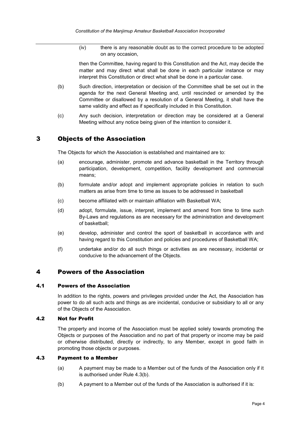(iv) there is any reasonable doubt as to the correct procedure to be adopted on any occasion,

then the Committee, having regard to this Constitution and the Act, may decide the matter and may direct what shall be done in each particular instance or may interpret this Constitution or direct what shall be done in a particular case.

- (b) Such direction, interpretation or decision of the Committee shall be set out in the agenda for the next General Meeting and, until rescinded or amended by the Committee or disallowed by a resolution of a General Meeting, it shall have the same validity and effect as if specifically included in this Constitution.
- (c) Any such decision, interpretation or direction may be considered at a General Meeting without any notice being given of the intention to consider it.

## <span id="page-8-0"></span>3 Objects of the Association

The Objects for which the Association is established and maintained are to:

- (a) encourage, administer, promote and advance basketball in the Territory through participation, development, competition, facility development and commercial means;
- (b) formulate and/or adopt and implement appropriate policies in relation to such matters as arise from time to time as issues to be addressed in basketball
- (c) become affiliated with or maintain affiliation with Basketball WA;
- (d) adopt, formulate, issue, interpret, implement and amend from time to time such By-Laws and regulations as are necessary for the administration and development of basketball;
- (e) develop, administer and control the sport of basketball in accordance with and having regard to this Constitution and policies and procedures of Basketball WA;
- (f) undertake and/or do all such things or activities as are necessary, incidental or conducive to the advancement of the Objects.

## <span id="page-8-1"></span>4 Powers of the Association

#### <span id="page-8-2"></span>4.1 Powers of the Association

In addition to the rights, powers and privileges provided under the Act, the Association has power to do all such acts and things as are incidental, conducive or subsidiary to all or any of the Objects of the Association.

#### <span id="page-8-3"></span>4.2 Not for Profit

The property and income of the Association must be applied solely towards promoting the Objects or purposes of the Association and no part of that property or income may be paid or otherwise distributed, directly or indirectly, to any Member, except in good faith in promoting those objects or purposes.

#### <span id="page-8-4"></span>4.3 Payment to a Member

- (a) A payment may be made to a Member out of the funds of the Association only if it is authorised under Rule [4.3\(b\).](#page-8-5)
- <span id="page-8-5"></span>(b) A payment to a Member out of the funds of the Association is authorised if it is: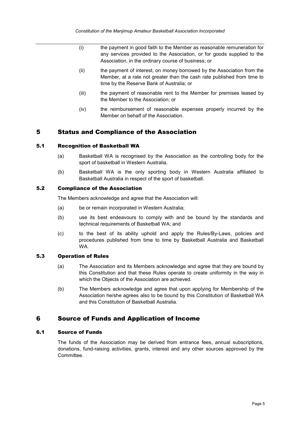- (i) the payment in good faith to the Member as reasonable remuneration for any services provided to the Association, or for goods supplied to the Association, in the ordinary course of business; or
- (ii) the payment of interest, on money borrowed by the Association from the Member, at a rate not greater than the cash rate published from time to time by the Reserve Bank of Australia; or
- (iii) the payment of reasonable rent to the Member for premises leased by the Member to the Association; or
- (iv) the reimbursement of reasonable expenses properly incurred by the Member on behalf of the Association.

## <span id="page-9-0"></span>5 Status and Compliance of the Association

#### <span id="page-9-1"></span>5.1 Recognition of Basketball WA

- (a) Basketball WA is recognised by the Association as the controlling body for the sport of basketball in Western Australia.
- (b) Basketball WA is the only sporting body in Western Australia affiliated to Basketball Australia in respect of the sport of basketball.

#### <span id="page-9-2"></span>5.2 Compliance of the Association

The Members acknowledge and agree that the Association will:

- (a) be or remain incorporated in Western Australia;
- (b) use its best endeavours to comply with and be bound by the standards and technical requirements of Basketball WA; and
- (c) to the best of its ability uphold and apply the Rules/By-Laws, policies and procedures published from time to time by Basketball Australia and Basketball WA.

#### <span id="page-9-3"></span>5.3 Operation of Rules

- (a) The Association and its Members acknowledge and agree that they are bound by this Constitution and that these Rules operate to create uniformity in the way in which the Objects of the Association are achieved.
- (b) The Members acknowledge and agree that upon applying for Membership of the Association he/she agrees also to be bound by this Constitution of Basketball WA and this Constitution of Basketball Australia.

## <span id="page-9-4"></span>6 Source of Funds and Application of Income

#### <span id="page-9-5"></span>6.1 Source of Funds

The funds of the Association may be derived from entrance fees, annual subscriptions, donations, fund-raising activities, grants, interest and any other sources approved by the Committee.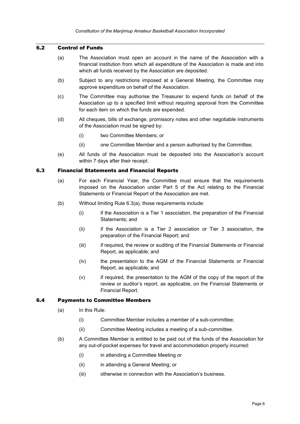## <span id="page-10-0"></span>6.2 Control of Funds

- (a) The Association must open an account in the name of the Association with a financial institution from which all expenditure of the Association is made and into which all funds received by the Association are deposited.
- (b) Subject to any restrictions imposed at a General Meeting, the Committee may approve expenditure on behalf of the Association.
- (c) The Committee may authorise the Treasurer to expend funds on behalf of the Association up to a specified limit without requiring approval from the Committee for each item on which the funds are expended.
- (d) All cheques, bills of exchange, promissory notes and other negotiable instruments of the Association must be signed by:
	- (i) two Committee Members; or
	- (ii) one Committee Member and a person authorised by the Committee;
- (e) All funds of the Association must be deposited into the Association's account within 7 days after their receipt.

#### <span id="page-10-3"></span><span id="page-10-1"></span>6.3 Financial Statements and Financial Reports

- (a) For each Financial Year, the Committee must ensure that the requirements imposed on the Association under Part 5 of the Act relating to the Financial Statements or Financial Report of the Association are met.
- (b) Without limiting Rule [6.3\(a\),](#page-10-3) those requirements include:
	- (i) if the Association is a Tier 1 association, the preparation of the Financial Statements; and
	- (ii) if the Association is a Tier 2 association or Tier 3 association, the preparation of the Financial Report; and
	- (iii) if required, the review or auditing of the Financial Statements or Financial Report, as applicable; and
	- (iv) the presentation to the AGM of the Financial Statements or Financial Report, as applicable; and
	- (v) if required, the presentation to the AGM of the copy of the report of the review or auditor's report, as applicable, on the Financial Statements or Financial Report.

#### <span id="page-10-2"></span>6.4 Payments to Committee Members

- (a) In this Rule:
	- (i) Committee Member includes a member of a sub-committee;
	- (ii) Committee Meeting includes a meeting of a sub-committee.
- (b) A Committee Member is entitled to be paid out of the funds of the Association for any out-of-pocket expenses for travel and accommodation properly incurred:
	- (i) in attending a Committee Meeting or
	- (ii) in attending a General Meeting; or
	- (iii) otherwise in connection with the Association's business.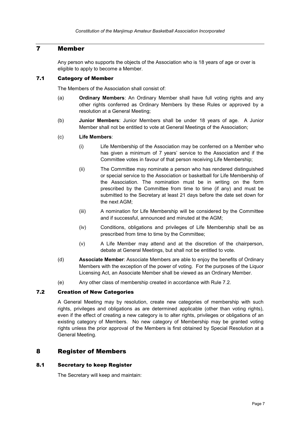## <span id="page-11-0"></span>7 Member

<span id="page-11-1"></span>Any person who supports the objects of the Association who is 18 years of age or over is eligible to apply to become a Member.

#### <span id="page-11-2"></span>7.1 Category of Member

The Members of the Association shall consist of:

- (a) **Ordinary Members**: An Ordinary Member shall have full voting rights and any other rights conferred as Ordinary Members by these Rules or approved by a resolution at a General Meeting;
- (b) **Junior Members**: Junior Members shall be under 18 years of age. A Junior Member shall not be entitled to vote at General Meetings of the Association;
- (c) **Life Members**:
	- (i) Life Membership of the Association may be conferred on a Member who has given a minimum of 7 years' service to the Association and if the Committee votes in favour of that person receiving Life Membership;
	- (ii) The Committee may nominate a person who has rendered distinguished or special service to the Association or basketball for Life Membership of the Association. The nomination must be in writing on the form prescribed by the Committee from time to time (if any) and must be submitted to the Secretary at least 21 days before the date set down for the next AGM;
	- (iii) A nomination for Life Membership will be considered by the Committee and if successful, announced and minuted at the AGM;
	- (iv) Conditions, obligations and privileges of Life Membership shall be as prescribed from time to time by the Committee;
	- (v) A Life Member may attend and at the discretion of the chairperson, debate at General Meetings, but shall not be entitled to vote.
- <span id="page-11-6"></span>(d) **Associate Member**: Associate Members are able to enjoy the benefits of Ordinary Members with the exception of the power of voting. For the purposes of the Liquor Licensing Act, an Associate Member shall be viewed as an Ordinary Member.
- (e) Any other class of membership created in accordance with Rule [7.2.](#page-11-3)

## <span id="page-11-3"></span>7.2 Creation of New Categories

A General Meeting may by resolution, create new categories of membership with such rights, privileges and obligations as are determined applicable (other than voting rights), even if the effect of creating a new category is to alter rights, privileges or obligations of an existing category of Members. No new category of Membership may be granted voting rights unless the prior approval of the Members is first obtained by Special Resolution at a General Meeting.

## <span id="page-11-4"></span>8 Register of Members

#### <span id="page-11-5"></span>8.1 Secretary to keep Register

The Secretary will keep and maintain: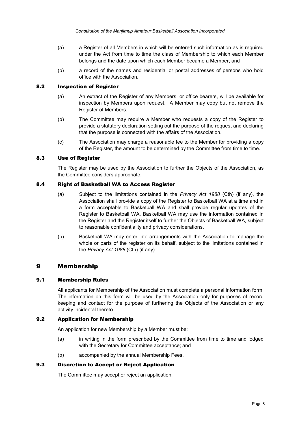- (a) a Register of all Members in which will be entered such information as is required under the Act from time to time the class of Membership to which each Member belongs and the date upon which each Member became a Member, and
- (b) a record of the names and residential or postal addresses of persons who hold office with the Association.

#### <span id="page-12-0"></span>8.2 **Inspection of Register**

- (a) An extract of the Register of any Members, or office bearers, will be available for inspection by Members upon request. A Member may copy but not remove the Register of Members.
- (b) The Committee may require a Member who requests a copy of the Register to provide a statutory declaration setting out the purpose of the request and declaring that the purpose is connected with the affairs of the Association.
- (c) The Association may charge a reasonable fee to the Member for providing a copy of the Register, the amount to be determined by the Committee from time to time.

## <span id="page-12-1"></span>8.3 Use of Register

The Register may be used by the Association to further the Objects of the Association, as the Committee considers appropriate.

#### <span id="page-12-2"></span>8.4 Right of Basketball WA to Access Register

- (a) Subject to the limitations contained in the *Privacy Act 1988* (Cth) (if any), the Association shall provide a copy of the Register to Basketball WA at a time and in a form acceptable to Basketball WA and shall provide regular updates of the Register to Basketball WA. Basketball WA may use the information contained in the Register and the Register itself to further the Objects of Basketball WA, subject to reasonable confidentiality and privacy considerations.
- (b) Basketball WA may enter into arrangements with the Association to manage the whole or parts of the register on its behalf, subject to the limitations contained in the *Privacy Act 1988* (Cth) (if any).

## <span id="page-12-3"></span>9 Membership

#### <span id="page-12-4"></span>9.1 Membership Rules

All applicants for Membership of the Association must complete a personal information form. The information on this form will be used by the Association only for purposes of record keeping and contact for the purpose of furthering the Objects of the Association or any activity incidental thereto.

#### <span id="page-12-5"></span>9.2 Application for Membership

An application for new Membership by a Member must be:

- (a) in writing in the form prescribed by the Committee from time to time and lodged with the Secretary for Committee acceptance; and
- (b) accompanied by the annual Membership Fees.

## <span id="page-12-6"></span>9.3 Discretion to Accept or Reject Application

The Committee may accept or reject an application.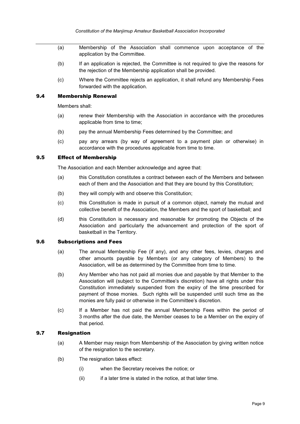- (a) Membership of the Association shall commence upon acceptance of the application by the Committee.
- (b) If an application is rejected, the Committee is not required to give the reasons for the rejection of the Membership application shall be provided.
- (c) Where the Committee rejects an application, it shall refund any Membership Fees forwarded with the application.

#### <span id="page-13-0"></span>9.4 Membership Renewal

Members shall:

- (a) renew their Membership with the Association in accordance with the procedures applicable from time to time;
- (b) pay the annual Membership Fees determined by the Committee; and
- (c) pay any arrears (by way of agreement to a payment plan or otherwise) in accordance with the procedures applicable from time to time.

#### <span id="page-13-1"></span>9.5 Effect of Membership

The Association and each Member acknowledge and agree that:

- (a) this Constitution constitutes a contract between each of the Members and between each of them and the Association and that they are bound by this Constitution;
- (b) they will comply with and observe this Constitution;
- (c) this Constitution is made in pursuit of a common object, namely the mutual and collective benefit of the Association, the Members and the sport of basketball; and
- (d) this Constitution is necessary and reasonable for promoting the Objects of the Association and particularly the advancement and protection of the sport of basketball in the Territory.

#### <span id="page-13-2"></span>9.6 Subscriptions and Fees

- (a) The annual Membership Fee (if any), and any other fees, levies, charges and other amounts payable by Members (or any category of Members) to the Association, will be as determined by the Committee from time to time.
- (b) Any Member who has not paid all monies due and payable by that Member to the Association will (subject to the Committee's discretion) have all rights under this Constitution immediately suspended from the expiry of the time prescribed for payment of those monies. Such rights will be suspended until such time as the monies are fully paid or otherwise in the Committee's discretion.
- <span id="page-13-4"></span>(c) If a Member has not paid the annual Membership Fees within the period of 3 months after the due date, the Member ceases to be a Member on the expiry of that period.

#### <span id="page-13-3"></span>9.7 Resignation

- (a) A Member may resign from Membership of the Association by giving written notice of the resignation to the secretary.
- (b) The resignation takes effect:
	- (i) when the Secretary receives the notice; or
	- $(ii)$  if a later time is stated in the notice, at that later time.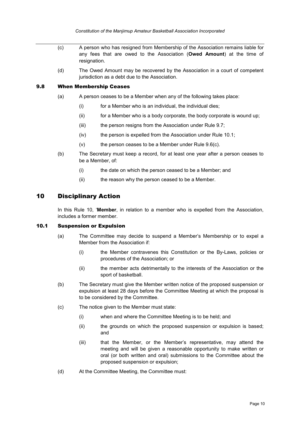*Constitution of the Manjimup Amateur Basketball Association Incorporated*

- (c) A person who has resigned from Membership of the Association remains liable for any fees that are owed to the Association (**Owed Amount**) at the time of resignation.
- (d) The Owed Amount may be recovered by the Association in a court of competent jurisdiction as a debt due to the Association.

#### <span id="page-14-0"></span>9.8 When Membership Ceases

- (a) A person ceases to be a Member when any of the following takes place:
	- (i) for a Member who is an individual, the individual dies;
	- (ii) for a Member who is a body corporate, the body corporate is wound up;
	- (iii) the person resigns from the Association under Rule [9.7;](#page-13-3)
	- (iv) the person is expelled from the Association under Rule [10.1;](#page-14-2)
	- $(v)$  the person ceases to be a Member under Rule [9.6\(c\).](#page-13-4)
- (b) The Secretary must keep a record, for at least one year after a person ceases to be a Member, of:
	- (i) the date on which the person ceased to be a Member; and
	- (ii) the reason why the person ceased to be a Member.

## <span id="page-14-1"></span>10 Disciplinary Action

In this Rule [10,](#page-14-1) '**Member**, in relation to a member who is expelled from the Association, includes a former member.

## <span id="page-14-2"></span>10.1 Suspension or Expulsion

- (a) The Committee may decide to suspend a Member's Membership or to expel a Member from the Association if:
	- (i) the Member contravenes this Constitution or the By-Laws, policies or procedures of the Association; or
	- (ii) the member acts detrimentally to the interests of the Association or the sport of basketball.
- (b) The Secretary must give the Member written notice of the proposed suspension or expulsion at least 28 days before the Committee Meeting at which the proposal is to be considered by the Committee.
- (c) The notice given to the Member must state:
	- (i) when and where the Committee Meeting is to be held; and
	- (ii) the grounds on which the proposed suspension or expulsion is based; and
	- (iii) that the Member, or the Member's representative, may attend the meeting and will be given a reasonable opportunity to make written or oral (or both written and oral) submissions to the Committee about the proposed suspension or expulsion;
- (d) At the Committee Meeting, the Committee must: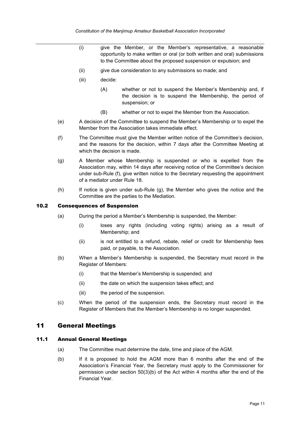- (i) give the Member, or the Member's representative, a reasonable opportunity to make written or oral (or both written and oral) submissions to the Committee about the proposed suspension or expulsion; and
- (ii) give due consideration to any submissions so made; and
- (iii) decide:
	- (A) whether or not to suspend the Member's Membership and, if the decision is to suspend the Membership, the period of suspension; or
	- (B) whether or not to expel the Member from the Association.
- (e) A decision of the Committee to suspend the Member's Membership or to expel the Member from the Association takes immediate effect.
- <span id="page-15-3"></span>(f) The Committee must give the Member written notice of the Committee's decision, and the reasons for the decision, within 7 days after the Committee Meeting at which the decision is made.
- <span id="page-15-4"></span>(g) A Member whose Membership is suspended or who is expelled from the Association may, within 14 days after receiving notice of the Committee's decision under sub-Rule [\(f\),](#page-15-3) give written notice to the Secretary requesting the appointment of a mediator under Rule [18.](#page-31-1)
- (h) If notice is given under sub-Rule [\(g\),](#page-15-4) the Member who gives the notice and the Committee are the parties to the Mediation.

#### <span id="page-15-0"></span>10.2 Consequences of Suspension

- (a) During the period a Member's Membership is suspended, the Member:
	- (i) loses any rights (including voting rights) arising as a result of Membership; and
	- (ii) is not entitled to a refund, rebate, relief or credit for Membership fees paid, or payable, to the Association.
- (b) When a Member's Membership is suspended, the Secretary must record in the Register of Members:
	- (i) that the Member's Membership is suspended; and
	- (ii) the date on which the suspension takes effect; and
	- (iii) the period of the suspension.
- (c) When the period of the suspension ends, the Secretary must record in the Register of Members that the Member's Membership is no longer suspended.

## <span id="page-15-1"></span>11 General Meetings

#### <span id="page-15-2"></span>11.1 Annual General Meetings

- (a) The Committee must determine the date, time and place of the AGM.
- (b) If it is proposed to hold the AGM more than 6 months after the end of the Association's Financial Year, the Secretary must apply to the Commissioner for permission under section 50(3)(b) of the Act within 4 months after the end of the Financial Year.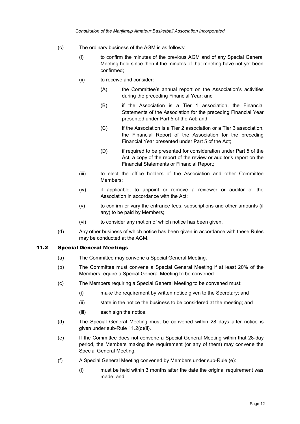- <span id="page-16-4"></span><span id="page-16-3"></span>(c) The ordinary business of the AGM is as follows:
	- (i) to confirm the minutes of the previous AGM and of any Special General Meeting held since then if the minutes of that meeting have not yet been confirmed;
	- (ii) to receive and consider:
		- (A) the Committee's annual report on the Association's activities during the preceding Financial Year; and
		- (B) if the Association is a Tier 1 association, the Financial Statements of the Association for the preceding Financial Year presented under Part 5 of the Act; and
		- (C) if the Association is a Tier 2 association or a Tier 3 association, the Financial Report of the Association for the preceding Financial Year presented under Part 5 of the Act;
		- (D) if required to be presented for consideration under Part 5 of the Act, a copy of the report of the review or auditor's report on the Financial Statements or Financial Report;
	- (iii) to elect the office holders of the Association and other Committee Members;
	- (iv) if applicable, to appoint or remove a reviewer or auditor of the Association in accordance with the Act;
	- (v) to confirm or vary the entrance fees, subscriptions and other amounts (if any) to be paid by Members;
	- (vi) to consider any motion of which notice has been given.
- <span id="page-16-5"></span>(d) Any other business of which notice has been given in accordance with these Rules may be conducted at the AGM.

#### <span id="page-16-0"></span>11.2 Special General Meetings

- (a) The Committee may convene a Special General Meeting.
- (b) The Committee must convene a Special General Meeting if at least 20% of the Members require a Special General Meeting to be convened.
- <span id="page-16-1"></span>(c) The Members requiring a Special General Meeting to be convened must:
	- (i) make the requirement by written notice given to the Secretary; and
	- (ii) state in the notice the business to be considered at the meeting; and
	- (iii) each sign the notice.
- (d) The Special General Meeting must be convened within 28 days after notice is given under sub-Rule [11.2\(c\)\(ii\).](#page-16-1)
- <span id="page-16-2"></span>(e) If the Committee does not convene a Special General Meeting within that 28-day period, the Members making the requirement (or any of them) may convene the Special General Meeting.
- (f) A Special General Meeting convened by Members under sub-Rule [\(e\):](#page-16-2)
	- (i) must be held within 3 months after the date the original requirement was made; and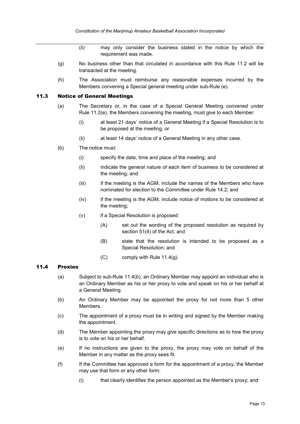- (ii) may only consider the business stated in the notice by which the requirement was made.
- (g) No business other than that circulated in accordance with this Rule [11.2](#page-16-0) will be transacted at the meeting.
- (h) The Association must reimburse any reasonable expenses incurred by the Members convening a Special general meeting under sub-Rule [\(e\).](#page-16-2)

#### <span id="page-17-0"></span>11.3 Notice of General Meetings

- (a) The Secretary or, in the case of a Special General Meeting convened under Rule [11.2\(e\),](#page-16-2) the Members convening the meeting, must give to each Member:
	- (i) at least 21 days' notice of a General Meeting if a Special Resolution is to be proposed at the meeting; or
	- (ii) at least 14 days' notice of a General Meeting in any other case.
- (b) The notice must:
	- (i) specify the date, time and place of the meeting; and
	- (ii) indicate the general nature of each item of business to be considered at the meeting; and
	- (iii) if the meeting is the AGM, include the names of the Members who have nominated for election to the Committee under Rule [14.2;](#page-25-2) and
	- (iv) if the meeting is the AGM, include notice of motions to be considered at the meeting;
	- (v) if a Special Resolution is proposed:
		- (A) set out the wording of the proposed resolution as required by section 51(4) of the Act; and
		- (B) state that the resolution is intended to be proposed as a Special Resolution; and
		- (C) comply with Rule [11.4\(g\).](#page-18-2)

## <span id="page-17-1"></span>11.4 Proxies

- (a) Subject to sub-Rule [11.4\(b\),](#page-17-2) an Ordinary Member may appoint an individual who is an Ordinary Member as his or her proxy to vote and speak on his or her behalf at a General Meeting.
- <span id="page-17-2"></span>(b) An Ordinary Member may be appointed the proxy for not more than 5 other Members.
- (c) The appointment of a proxy must be in writing and signed by the Member making the appointment.
- (d) The Member appointing the proxy may give specific directions as to how the proxy is to vote on his or her behalf.
- (e) If no instructions are given to the proxy, the proxy may vote on behalf of the Member in any matter as the proxy sees fit.
- (f) If the Committee has approved a form for the appointment of a proxy, the Member may use that form or any other form:
	- (i) that clearly identifies the person appointed as the Member's proxy; and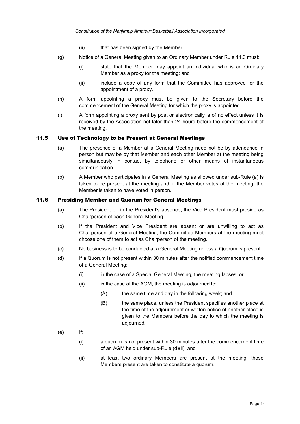- (ii) that has been signed by the Member.
- <span id="page-18-2"></span>(g) Notice of a General Meeting given to an Ordinary Member under Rule [11.3](#page-17-0) must:
	- (i) state that the Member may appoint an individual who is an Ordinary Member as a proxy for the meeting; and
	- (ii) include a copy of any form that the Committee has approved for the appointment of a proxy.
- <span id="page-18-5"></span>(h) A form appointing a proxy must be given to the Secretary before the commencement of the General Meeting for which the proxy is appointed.
- (i) A form appointing a proxy sent by post or electronically is of no effect unless it is received by the Association not later than 24 hours before the commencement of the meeting.

#### <span id="page-18-3"></span><span id="page-18-0"></span>11.5 Use of Technology to be Present at General Meetings

- (a) The presence of a Member at a General Meeting need not be by attendance in person but may be by that Member and each other Member at the meeting being simultaneously in contact by telephone or other means of instantaneous communication.
- (b) A Member who participates in a General Meeting as allowed under sub-Rule [\(a\)](#page-18-3) is taken to be present at the meeting and, if the Member votes at the meeting, the Member is taken to have voted in person.

#### <span id="page-18-1"></span>11.6 Presiding Member and Quorum for General Meetings

- (a) The President or, in the President's absence, the Vice President must preside as Chairperson of each General Meeting.
- (b) If the President and Vice President are absent or are unwilling to act as Chairperson of a General Meeting, the Committee Members at the meeting must choose one of them to act as Chairperson of the meeting.
- (c) No business is to be conducted at a General Meeting unless a Quorum is present.
- <span id="page-18-4"></span>(d) If a Quorum is not present within 30 minutes after the notified commencement time of a General Meeting:
	- (i) in the case of a Special General Meeting, the meeting lapses; or
	- (ii) in the case of the AGM, the meeting is adjourned to:
		- (A) the same time and day in the following week; and
		- (B) the same place, unless the President specifies another place at the time of the adjournment or written notice of another place is given to the Members before the day to which the meeting is adjourned.
- (e) If:
	- (i) a quorum is not present within 30 minutes after the commencement time of an AGM held under sub-Rule [\(d\)\(ii\);](#page-18-4) and
	- (ii) at least two ordinary Members are present at the meeting, those Members present are taken to constitute a quorum.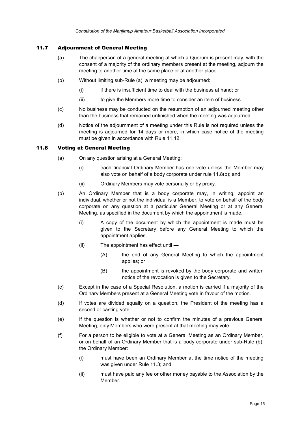## <span id="page-19-2"></span><span id="page-19-0"></span>11.7 Adjournment of General Meeting

- (a) The chairperson of a general meeting at which a Quorum is present may, with the consent of a majority of the ordinary members present at the meeting, adjourn the meeting to another time at the same place or at another place.
- (b) Without limiting sub-Rule [\(a\),](#page-19-2) a meeting may be adjourned:
	- (i) if there is insufficient time to deal with the business at hand; or
	- (ii) to give the Members more time to consider an item of business.
- (c) No business may be conducted on the resumption of an adjourned meeting other than the business that remained unfinished when the meeting was adjourned.
- (d) Notice of the adjournment of a meeting under this Rule is not required unless the meeting is adjourned for 14 days or more, in which case notice of the meeting must be given in accordance with Rule [11.12.](#page-21-0)

#### <span id="page-19-1"></span>11.8 Voting at General Meeting

- (a) On any question arising at a General Meeting:
	- (i) each financial Ordinary Member has one vote unless the Member may also vote on behalf of a body corporate under rule [11.8\(b\);](#page-19-3) and
	- (ii) Ordinary Members may vote personally or by proxy.
- <span id="page-19-3"></span>(b) An Ordinary Member that is a body corporate may, in writing, appoint an individual, whether or not the individual is a Member, to vote on behalf of the body corporate on any question at a particular General Meeting or at any General Meeting, as specified in the document by which the appointment is made.
	- (i) A copy of the document by which the appointment is made must be given to the Secretary before any General Meeting to which the appointment applies.
	- (ii) The appointment has effect until
		- (A) the end of any General Meeting to which the appointment applies; or
		- (B) the appointment is revoked by the body corporate and written notice of the revocation is given to the Secretary.
- (c) Except in the case of a Special Resolution, a motion is carried if a majority of the Ordinary Members present at a General Meeting vote in favour of the motion.
- (d) If votes are divided equally on a question, the President of the meeting has a second or casting vote.
- (e) If the question is whether or not to confirm the minutes of a previous General Meeting, only Members who were present at that meeting may vote.
- (f) For a person to be eligible to vote at a General Meeting as an Ordinary Member, or on behalf of an Ordinary Member that is a body corporate under sub-Rule [\(b\),](#page-19-3) the Ordinary Member:
	- (i) must have been an Ordinary Member at the time notice of the meeting was given under Rule [11.3;](#page-17-0) and
	- (ii) must have paid any fee or other money payable to the Association by the **Member**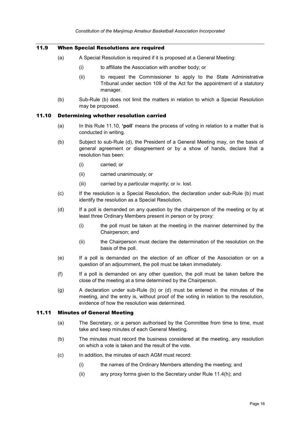## <span id="page-20-0"></span>11.9 When Special Resolutions are required

- (a) A Special Resolution is required if it is proposed at a General Meeting:
	- (i) to affiliate the Association with another body; or
	- (ii) to request the Commissioner to apply to the State Administrative Tribunal under section 109 of the Act for the appointment of a statutory manager.
- (b) Sub-Rule [\(b\)](#page-20-3) does not limit the matters in relation to which a Special Resolution may be proposed.

#### <span id="page-20-3"></span><span id="page-20-1"></span>11.10 Determining whether resolution carried

- (a) In this Rule [11.10,](#page-20-1) **'poll**' means the process of voting in relation to a matter that is conducted in writing.
- <span id="page-20-5"></span>(b) Subject to sub-Rule [\(d\),](#page-20-4) the President of a General Meeting may, on the basis of general agreement or disagreement or by a show of hands, declare that a resolution has been:
	- (i) carried; or
	- (ii) carried unanimously; or
	- (iii) carried by a particular majority; or iv. lost.
- (c) If the resolution is a Special Resolution, the declaration under sub-Rule [\(b\)](#page-20-5) must identify the resolution as a Special Resolution.
- <span id="page-20-4"></span>(d) If a poll is demanded on any question by the chairperson of the meeting or by at least three Ordinary Members present in person or by proxy:
	- (i) the poll must be taken at the meeting in the manner determined by the Chairperson; and
	- (ii) the Chairperson must declare the determination of the resolution on the basis of the poll.
- (e) If a poll is demanded on the election of an officer of the Association or on a question of an adjournment, the poll must be taken immediately.
- (f) If a poll is demanded on any other question, the poll must be taken before the close of the meeting at a time determined by the Chairperson.
- (g) A declaration under sub-Rule [\(b\)](#page-20-5) or [\(d\)](#page-20-4) must be entered in the minutes of the meeting, and the entry is, without proof of the voting in relation to the resolution, evidence of how the resolution was determined.

## <span id="page-20-2"></span>11.11 Minutes of General Meeting

- (a) The Secretary, or a person authorised by the Committee from time to time, must take and keep minutes of each General Meeting.
- (b) The minutes must record the business considered at the meeting, any resolution on which a vote is taken and the result of the vote.
- (c) In addition, the minutes of each AGM must record:
	- (i) the names of the Ordinary Members attending the meeting; and
	- (ii) any proxy forms given to the Secretary under Rule [11.4\(h\);](#page-18-5) and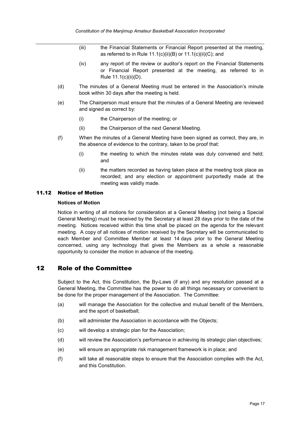- (iii) the Financial Statements or Financial Report presented at the meeting, as referred to in Rule  $11.1(c)(ii)(B)$  or  $11.1(c)(ii)(C)$ ; and
- (iv) any report of the review or auditor's report on the Financial Statements or Financial Report presented at the meeting, as referred to in Rule [11.1\(c\)\(ii\)\(D\).](#page-16-5)
- (d) The minutes of a General Meeting must be entered in the Association's minute book within 30 days after the meeting is held.
- (e) The Chairperson must ensure that the minutes of a General Meeting are reviewed and signed as correct by:
	- (i) the Chairperson of the meeting; or
	- (ii) the Chairperson of the next General Meeting.
- (f) When the minutes of a General Meeting have been signed as correct, they are, in the absence of evidence to the contrary, taken to be proof that:
	- (i) the meeting to which the minutes relate was duly convened and held; and
	- (ii) the matters recorded as having taken place at the meeting took place as recorded; and any election or appointment purportedly made at the meeting was validly made.

#### <span id="page-21-0"></span>11.12 Notice of Motion

#### **Notices of Motion**

Notice in writing of all motions for consideration at a General Meeting (not being a Special General Meeting) must be received by the Secretary at least 28 days prior to the date of the meeting. Notices received within this time shall be placed on the agenda for the relevant meeting. A copy of all notices of motion received by the Secretary will be communicated to each Member and Committee Member at least 14 days prior to the General Meeting concerned, using any technology that gives the Members as a whole a reasonable opportunity to consider the motion in advance of the meeting.

## <span id="page-21-1"></span>12 Role of the Committee

Subject to the Act, this Constitution, the By-Laws (if any) and any resolution passed at a General Meeting, the Committee has the power to do all things necessary or convenient to be done for the proper management of the Association. The Committee:

- (a) will manage the Association for the collective and mutual benefit of the Members, and the sport of basketball;
- (b) will administer the Association in accordance with the Objects;
- (c) will develop a strategic plan for the Association;
- (d) will review the Association's performance in achieving its strategic plan objectives;
- (e) will ensure an appropriate risk management framework is in place; and
- (f) will take all reasonable steps to ensure that the Association complies with the Act, and this Constitution.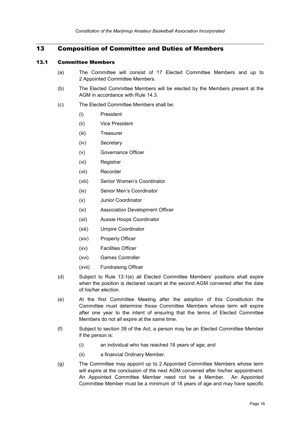## <span id="page-22-0"></span>13 Composition of Committee and Duties of Members

#### <span id="page-22-1"></span>13.1 Committee Members

- (a) The Committee will consist of 17 Elected Committee Members and up to 2 Appointed Committee Members.
- (b) The Elected Committee Members will be elected by the Members present at the AGM in accordance with Rule [14.3.](#page-25-3)
- (c) The Elected Committee Members shall be:
	- (i) President
	- (ii) Vice President
	- (iii) Treasurer
	- (iv) Secretary
	- (v) Governance Officer
	- (vi) Registrar
	- (vii) Recorder
	- (viii) Senior Women's Coordinator
	- (ix) Senior Men's Coordinator
	- (x) Junior Coordinator
	- (xi) Association Development Officer
	- (xii) Aussie Hoops Coordinator
	- (xiii) Umpire Coordinator
	- (xiv) Property Officer
	- (xv) Facilities Officer
	- (xvi) Games Controller
	- (xvii) Fundraising Officer
- (d) Subject to Rule [13.1\(e\)](#page-22-3) all Elected Committee Members' positions shall expire when the position is declared vacant at the second AGM convened after the date of his/her election.
- <span id="page-22-3"></span>(e) At the first Committee Meeting after the adoption of this Constitution the Committee must determine those Committee Members whose term will expire after one year to the intent of ensuring that the terms of Elected Committee Members do not all expire at the same time.
- <span id="page-22-4"></span>(f) Subject to section 39 of the Act, a person may be an Elected Committee Member if the person is:
	- (i) an individual who has reached 18 years of age; and
	- (ii) a financial Ordinary Member.
- <span id="page-22-2"></span>(g) The Committee may appoint up to 2 Appointed Committee Members whose term will expire at the conclusion of the next AGM convened after his/her appointment. An Appointed Committee Member need not be a Member. An Appointed Committee Member must be a minimum of 18 years of age and may have specific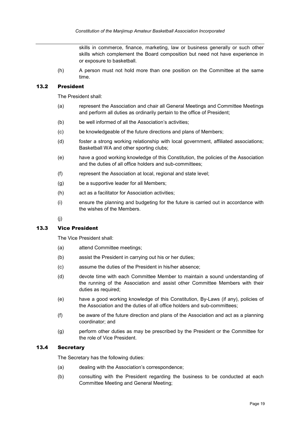skills in commerce, finance, marketing, law or business generally or such other skills which complement the Board composition but need not have experience in or exposure to basketball.

(h) A person must not hold more than one position on the Committee at the same time.

#### <span id="page-23-0"></span>13.2 President

The President shall:

- (a) represent the Association and chair all General Meetings and Committee Meetings and perform all duties as ordinarily pertain to the office of President;
- (b) be well informed of all the Association's activities;
- (c) be knowledgeable of the future directions and plans of Members;
- (d) foster a strong working relationship with local government, affiliated associations; Basketball WA and other sporting clubs;
- (e) have a good working knowledge of this Constitution, the policies of the Association and the duties of all office holders and sub-committees;
- (f) represent the Association at local, regional and state level;
- (g) be a supportive leader for all Members;
- (h) act as a facilitator for Association activities;
- (i) ensure the planning and budgeting for the future is carried out in accordance with the wishes of the Members.

(j)

#### <span id="page-23-1"></span>13.3 Vice President

The Vice President shall:

- (a) attend Committee meetings;
- (b) assist the President in carrying out his or her duties;
- (c) assume the duties of the President in his/her absence;
- (d) devote time with each Committee Member to maintain a sound understanding of the running of the Association and assist other Committee Members with their duties as required;
- (e) have a good working knowledge of this Constitution, By-Laws (if any), policies of the Association and the duties of all office holders and sub-committees;
- (f) be aware of the future direction and plans of the Association and act as a planning coordinator; and
- (g) perform other duties as may be prescribed by the President or the Committee for the role of Vice President.

#### <span id="page-23-2"></span>13.4 Secretary

The Secretary has the following duties:

- (a) dealing with the Association's correspondence;
- (b) consulting with the President regarding the business to be conducted at each Committee Meeting and General Meeting;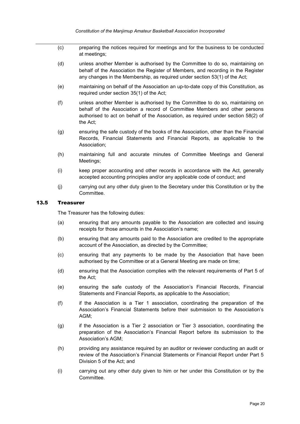- (c) preparing the notices required for meetings and for the business to be conducted at meetings;
- (d) unless another Member is authorised by the Committee to do so, maintaining on behalf of the Association the Register of Members, and recording in the Register any changes in the Membership, as required under section 53(1) of the Act;
- (e) maintaining on behalf of the Association an up-to-date copy of this Constitution, as required under section 35(1) of the Act;
- (f) unless another Member is authorised by the Committee to do so, maintaining on behalf of the Association a record of Committee Members and other persons authorised to act on behalf of the Association, as required under section 58(2) of the Act;
- (g) ensuring the safe custody of the books of the Association, other than the Financial Records, Financial Statements and Financial Reports, as applicable to the Association;
- (h) maintaining full and accurate minutes of Committee Meetings and General Meetings;
- (i) keep proper accounting and other records in accordance with the Act, generally accepted accounting principles and/or any applicable code of conduct; and
- (j) carrying out any other duty given to the Secretary under this Constitution or by the Committee.

#### <span id="page-24-0"></span>13.5 Treasurer

The Treasurer has the following duties:

- (a) ensuring that any amounts payable to the Association are collected and issuing receipts for those amounts in the Association's name;
- (b) ensuring that any amounts paid to the Association are credited to the appropriate account of the Association, as directed by the Committee;
- (c) ensuring that any payments to be made by the Association that have been authorised by the Committee or at a General Meeting are made on time;
- (d) ensuring that the Association complies with the relevant requirements of Part 5 of the Act;
- (e) ensuring the safe custody of the Association's Financial Records, Financial Statements and Financial Reports, as applicable to the Association;
- (f) if the Association is a Tier 1 association, coordinating the preparation of the Association's Financial Statements before their submission to the Association's AGM;
- (g) if the Association is a Tier 2 association or Tier 3 association, coordinating the preparation of the Association's Financial Report before its submission to the Association's AGM;
- (h) providing any assistance required by an auditor or reviewer conducting an audit or review of the Association's Financial Statements or Financial Report under Part 5 Division 5 of the Act; and
- (i) carrying out any other duty given to him or her under this Constitution or by the Committee.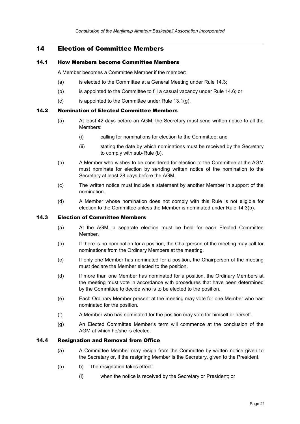## <span id="page-25-0"></span>14 Election of Committee Members

#### <span id="page-25-1"></span>14.1 How Members become Committee Members

A Member becomes a Committee Member if the member:

- (a) is elected to the Committee at a General Meeting under Rule [14.3;](#page-25-3)
- (b) is appointed to the Committee to fill a casual vacancy under Rule [14.6;](#page-26-1) or
- $(c)$  is appointed to the Committee under Rule [13.1\(g\).](#page-22-2)

#### <span id="page-25-2"></span>14.2 Nomination of Elected Committee Members

- (a) At least 42 days before an AGM, the Secretary must send written notice to all the Members:
	- (i) calling for nominations for election to the Committee; and
	- (ii) stating the date by which nominations must be received by the Secretary to comply with sub-Rule [\(b\).](#page-25-5)
- <span id="page-25-5"></span>(b) A Member who wishes to be considered for election to the Committee at the AGM must nominate for election by sending written notice of the nomination to the Secretary at least 28 days before the AGM.
- (c) The written notice must include a statement by another Member in support of the nomination.
- (d) A Member whose nomination does not comply with this Rule is not eligible for election to the Committee unless the Member is nominated under Rule [14.3\(b\).](#page-25-6)

#### <span id="page-25-3"></span>14.3 Election of Committee Members

- (a) At the AGM, a separate election must be held for each Elected Committee Member.
- <span id="page-25-6"></span>(b) If there is no nomination for a position, the Chairperson of the meeting may call for nominations from the Ordinary Members at the meeting.
- (c) If only one Member has nominated for a position, the Chairperson of the meeting must declare the Member elected to the position.
- (d) If more than one Member has nominated for a position, the Ordinary Members at the meeting must vote in accordance with procedures that have been determined by the Committee to decide who is to be elected to the position.
- (e) Each Ordinary Member present at the meeting may vote for one Member who has nominated for the position.
- (f) A Member who has nominated for the position may vote for himself or herself.
- (g) An Elected Committee Member's term will commence at the conclusion of the AGM at which he/she is elected.

#### <span id="page-25-4"></span>14.4 Resignation and Removal from Office

- (a) A Committee Member may resign from the Committee by written notice given to the Secretary or, if the resigning Member is the Secretary, given to the President.
- (b) b) The resignation takes effect:
	- (i) when the notice is received by the Secretary or President; or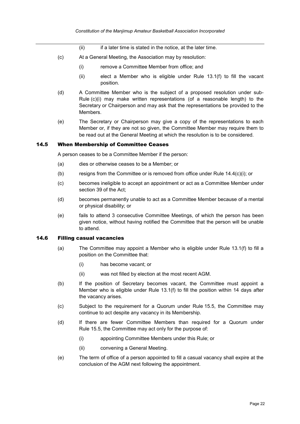- (ii) if a later time is stated in the notice, at the later time.
- <span id="page-26-2"></span>(c) At a General Meeting, the Association may by resolution:
	- (i) remove a Committee Member from office; and
	- (ii) elect a Member who is eligible under Rule [13.1\(f\)](#page-22-4) to fill the vacant position.
- (d) A Committee Member who is the subject of a proposed resolution under sub-Rule [\(c\)\(i\)](#page-26-2) may make written representations (of a reasonable length) to the Secretary or Chairperson and may ask that the representations be provided to the Members.
- (e) The Secretary or Chairperson may give a copy of the representations to each Member or, if they are not so given, the Committee Member may require them to be read out at the General Meeting at which the resolution is to be considered.

#### <span id="page-26-0"></span>14.5 When Membership of Committee Ceases

A person ceases to be a Committee Member if the person:

- (a) dies or otherwise ceases to be a Member; or
- (b) resigns from the Committee or is removed from office under Rule [14.4\(c\)\(i\);](#page-26-2) or
- (c) becomes ineligible to accept an appointment or act as a Committee Member under section 39 of the Act;
- (d) becomes permanently unable to act as a Committee Member because of a mental or physical disability; or
- (e) fails to attend 3 consecutive Committee Meetings, of which the person has been given notice, without having notified the Committee that the person will be unable to attend.

#### <span id="page-26-1"></span>14.6 Filling casual vacancies

- (a) The Committee may appoint a Member who is eligible under Rule [13.1\(f\)](#page-22-4) to fill a position on the Committee that:
	- (i) has become vacant; or
	- (ii) was not filled by election at the most recent AGM.
- (b) If the position of Secretary becomes vacant, the Committee must appoint a Member who is eligible under Rule [13.1\(f\)](#page-22-4) to fill the position within 14 days after the vacancy arises.
- (c) Subject to the requirement for a Quorum under Rule [15.5,](#page-27-5) the Committee may continue to act despite any vacancy in its Membership.
- <span id="page-26-3"></span>(d) If there are fewer Committee Members than required for a Quorum under Rule [15.5,](#page-27-5) the Committee may act only for the purpose of:
	- (i) appointing Committee Members under this Rule; or
	- (ii) convening a General Meeting.
- (e) The term of office of a person appointed to fill a casual vacancy shall expire at the conclusion of the AGM next following the appointment.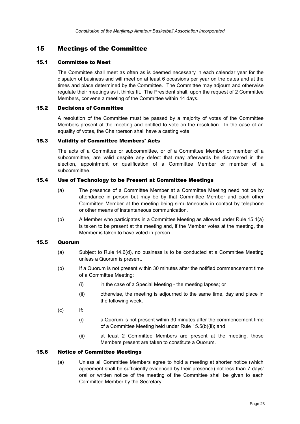## <span id="page-27-0"></span>15 Meetings of the Committee

#### <span id="page-27-1"></span>15.1 Committee to Meet

The Committee shall meet as often as is deemed necessary in each calendar year for the dispatch of business and will meet on at least 6 occasions per year on the dates and at the times and place determined by the Committee. The Committee may adjourn and otherwise regulate their meetings as it thinks fit. The President shall, upon the request of 2 Committee Members, convene a meeting of the Committee within 14 days.

#### <span id="page-27-2"></span>15.2 Decisions of Committee

A resolution of the Committee must be passed by a majority of votes of the Committee Members present at the meeting and entitled to vote on the resolution. In the case of an equality of votes, the Chairperson shall have a casting vote.

## <span id="page-27-3"></span>15.3 Validity of Committee Members' Acts

The acts of a Committee or subcommittee, or of a Committee Member or member of a subcommittee, are valid despite any defect that may afterwards be discovered in the election, appointment or qualification of a Committee Member or member of a subcommittee.

#### <span id="page-27-7"></span><span id="page-27-4"></span>15.4 Use of Technology to be Present at Committee Meetings

- (a) The presence of a Committee Member at a Committee Meeting need not be by attendance in person but may be by that Committee Member and each other Committee Member at the meeting being simultaneously in contact by telephone or other means of instantaneous communication.
- (b) A Member who participates in a Committee Meeting as allowed under Rule [15.4\(a\)](#page-27-7) is taken to be present at the meeting and, if the Member votes at the meeting, the Member is taken to have voted in person.

#### <span id="page-27-5"></span>15.5 Quorum

- (a) Subject to Rule [14.6\(d\),](#page-26-3) no business is to be conducted at a Committee Meeting unless a Quorum is present.
- (b) If a Quorum is not present within 30 minutes after the notified commencement time of a Committee Meeting:
	- (i) in the case of a Special Meeting the meeting lapses; or
	- (ii) otherwise, the meeting is adjourned to the same time, day and place in the following week.
- <span id="page-27-8"></span>(c) If:
	- (i) a Quorum is not present within 30 minutes after the commencement time of a Committee Meeting held under Rule 15.[5\(b\)\(ii\);](#page-27-8) and
	- (ii) at least 2 Committee Members are present at the meeting, those Members present are taken to constitute a Quorum.

#### <span id="page-27-6"></span>15.6 Notice of Committee Meetings

(a) Unless all Committee Members agree to hold a meeting at shorter notice (which agreement shall be sufficiently evidenced by their presence) not less than 7 days' oral or written notice of the meeting of the Committee shall be given to each Committee Member by the Secretary.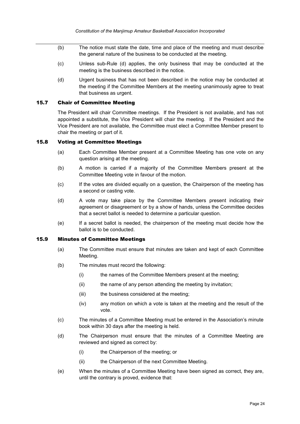- (b) The notice must state the date, time and place of the meeting and must describe the general nature of the business to be conducted at the meeting.
- (c) Unless sub-Rule [\(d\)](#page-28-3) applies, the only business that may be conducted at the meeting is the business described in the notice.
- <span id="page-28-3"></span>(d) Urgent business that has not been described in the notice may be conducted at the meeting if the Committee Members at the meeting unanimously agree to treat that business as urgent.

#### <span id="page-28-0"></span>15.7 Chair of Committee Meeting

The President will chair Committee meetings. If the President is not available, and has not appointed a substitute, the Vice President will chair the meeting. If the President and the Vice President are not available, the Committee must elect a Committee Member present to chair the meeting or part of it.

#### <span id="page-28-1"></span>15.8 Voting at Committee Meetings

- (a) Each Committee Member present at a Committee Meeting has one vote on any question arising at the meeting.
- (b) A motion is carried if a majority of the Committee Members present at the Committee Meeting vote in favour of the motion.
- (c) If the votes are divided equally on a question, the Chairperson of the meeting has a second or casting vote.
- (d) A vote may take place by the Committee Members present indicating their agreement or disagreement or by a show of hands, unless the Committee decides that a secret ballot is needed to determine a particular question.
- (e) If a secret ballot is needed, the chairperson of the meeting must decide how the ballot is to be conducted.

#### <span id="page-28-2"></span>15.9 Minutes of Committee Meetings

- (a) The Committee must ensure that minutes are taken and kept of each Committee Meeting.
- (b) The minutes must record the following:
	- (i) the names of the Committee Members present at the meeting;
	- (ii) the name of any person attending the meeting by invitation;
	- (iii) the business considered at the meeting;
	- (iv) any motion on which a vote is taken at the meeting and the result of the vote.
- (c) The minutes of a Committee Meeting must be entered in the Association's minute book within 30 days after the meeting is held.
- (d) The Chairperson must ensure that the minutes of a Committee Meeting are reviewed and signed as correct by:
	- (i) the Chairperson of the meeting; or
	- (ii) the Chairperson of the next Committee Meeting.
- (e) When the minutes of a Committee Meeting have been signed as correct, they are, until the contrary is proved, evidence that: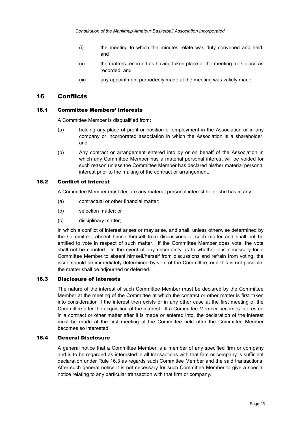- (i) the meeting to which the minutes relate was duly convened and held; and
- (ii) the matters recorded as having taken place at the meeting took place as recorded; and
- (iii) any appointment purportedly made at the meeting was validly made.

## <span id="page-29-0"></span>16 Conflicts

#### <span id="page-29-1"></span>16.1 Committee Members' Interests

A Committee Member is disqualified from:

- (a) holding any place of profit or position of employment in the Association or in any company or incorporated association in which the Association is a shareholder; and
- (b) Any contract or arrangement entered into by or on behalf of the Association in which any Committee Member has a material personal interest will be voided for such reason unless the Committee Member has declared his/her material personal interest prior to the making of the contract or arrangement.

#### <span id="page-29-2"></span>16.2 Conflict of Interest

A Committee Member must declare any material personal interest he or she has in any:

- (a) contractual or other financial matter;
- (b) selection matter; or
- (c) disciplinary matter;

in which a conflict of interest arises or may arise, and shall, unless otherwise determined by the Committee, absent himself/herself from discussions of such matter and shall not be entitled to vote in respect of such matter. If the Committee Member does vote, the vote shall not be counted. In the event of any uncertainty as to whether it is necessary for a Committee Member to absent himself/herself from discussions and refrain from voting, the issue should be immediately determined by vote of the Committee, or if this is not possible, the matter shall be adjourned or deferred.

#### <span id="page-29-3"></span>16.3 Disclosure of Interests

The nature of the interest of such Committee Member must be declared by the Committee Member at the meeting of the Committee at which the contract or other matter is first taken into consideration if the interest then exists or in any other case at the first meeting of the Committee after the acquisition of the interest. If a Committee Member becomes interested in a contract or other matter after it is made or entered into, the declaration of the interest must be made at the first meeting of the Committee held after the Committee Member becomes so interested.

#### <span id="page-29-4"></span>16.4 General Disclosure

A general notice that a Committee Member is a member of any specified firm or company and is to be regarded as interested in all transactions with that firm or company is sufficient declaration under Rule [16.3](#page-29-3) as regards such Committee Member and the said transactions. After such general notice it is not necessary for such Committee Member to give a special notice relating to any particular transaction with that firm or company.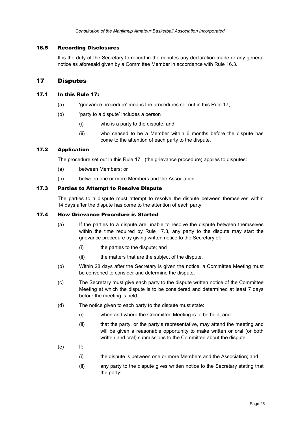## <span id="page-30-0"></span>16.5 Recording Disclosures

It is the duty of the Secretary to record in the minutes any declaration made or any general notice as aforesaid given by a Committee Member in accordance with Rule [16.3.](#page-29-3)

## <span id="page-30-1"></span>17 Disputes

#### <span id="page-30-2"></span>17.1 In this Rule [17:](#page-30-1)

- (a) 'grievance procedure' means the procedures set out in this Rule [17;](#page-30-1)
- (b) 'party to a dispute' includes a person
	- (i) who is a party to the dispute; and
	- (ii) who ceased to be a Member within 6 months before the dispute has come to the attention of each party to the dispute.

## <span id="page-30-3"></span>17.2 Application

The procedure set out in this Rule [17](#page-30-1) (the grievance procedure) applies to disputes:

- (a) between Members; or
- (b) between one or more Members and the Association.

#### <span id="page-30-4"></span>17.3 Parties to Attempt to Resolve Dispute

The parties to a dispute must attempt to resolve the dispute between themselves within 14 days after the dispute has come to the attention of each party.

#### <span id="page-30-5"></span>17.4 How Grievance Procedure is Started

- (a) If the parties to a dispute are unable to resolve the dispute between themselves within the time required by Rule [17.3,](#page-30-4) any party to the dispute may start the grievance procedure by giving written notice to the Secretary of:
	- (i) the parties to the dispute; and
	- (ii) the matters that are the subject of the dispute.
- (b) Within 28 days after the Secretary is given the notice, a Committee Meeting must be convened to consider and determine the dispute.
- (c) The Secretary must give each party to the dispute written notice of the Committee Meeting at which the dispute is to be considered and determined at least 7 days before the meeting is held.
- (d) The notice given to each party to the dispute must state:
	- (i) when and where the Committee Meeting is to be held; and
	- (ii) that the party, or the party's representative, may attend the meeting and will be given a reasonable opportunity to make written or oral (or both written and oral) submissions to the Committee about the dispute.
- (e) If:
	- (i) the dispute is between one or more Members and the Association; and
	- (ii) any party to the dispute gives written notice to the Secretary stating that the party: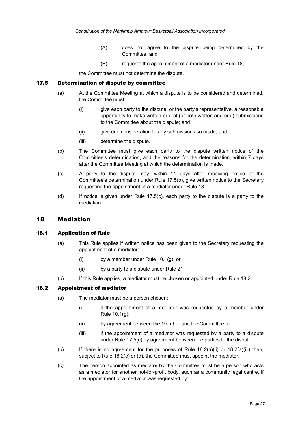- (A) does not agree to the dispute being determined by the Committee; and
- (B) requests the appointment of a mediator under Rule [18;](#page-31-1)

the Committee must not determine the dispute.

#### <span id="page-31-0"></span>17.5 Determination of dispute by committee

- (a) At the Committee Meeting at which a dispute is to be considered and determined, the Committee must:
	- (i) give each party to the dispute, or the party's representative, a reasonable opportunity to make written or oral (or both written and oral) submissions to the Committee about the dispute; and
	- (ii) give due consideration to any submissions so made; and
	- (iii) determine the dispute.
- <span id="page-31-4"></span>(b) The Committee must give each party to the dispute written notice of the Committee's determination, and the reasons for the determination, within 7 days after the Committee Meeting at which the determination is made.
- <span id="page-31-5"></span>(c) A party to the dispute may, within 14 days after receiving notice of the Committee's determination under Rule [17.5\(b\),](#page-31-4) give written notice to the Secretary requesting the appointment of a mediator under Rule [18.](#page-31-1)
- (d) If notice is given under Rule [17.5\(c\),](#page-31-5) each party to the dispute is a party to the mediation.

## <span id="page-31-1"></span>18 Mediation

#### <span id="page-31-2"></span>18.1 Application of Rule

- (a) This Rule applies if written notice has been given to the Secretary requesting the appointment of a mediator:
	- (i) by a member under Rule [10.1\(g\);](#page-15-4) or
	- (ii) by a party to a dispute under Rule [21.](#page-34-0)
- (b) If this Rule applies, a mediator must be chosen or appointed under Rule [18.2.](#page-31-3)

#### <span id="page-31-3"></span>18.2 Appointment of mediator

- <span id="page-31-6"></span>(a) The mediator must be a person chosen:
	- (i) if the appointment of a mediator was requested by a member under Rule [10.1\(g\);](#page-15-4)
	- (ii) by agreement between the Member and the Committee; or
	- (iii) if the appointment of a mediator was requested by a party to a dispute under Rule [17.5\(c\)](#page-31-5) by agreement between the parties to the dispute.
- <span id="page-31-7"></span>(b) If there is no agreement for the purposes of Rule  $18.2(a)(ii)$  or  $18.2(a)(iii)$  then, subject to Rule [18.2\(c\)](#page-31-8) or [\(d\),](#page-32-4) the Committee must appoint the mediator.
- <span id="page-31-8"></span>(c) The person appointed as mediator by the Committee must be a person who acts as a mediator for another not-for-profit body, such as a community legal centre, if the appointment of a mediator was requested by: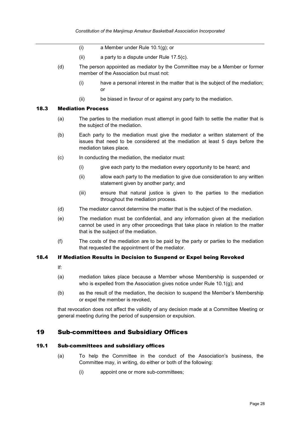- (i) a Member under Rule [10.1\(g\);](#page-15-4) or
- (ii) a party to a dispute under Rule [17.5\(c\).](#page-31-5)
- <span id="page-32-4"></span>(d) The person appointed as mediator by the Committee may be a Member or former member of the Association but must not:
	- (i) have a personal interest in the matter that is the subject of the mediation; or
	- (ii) be biased in favour of or against any party to the mediation.

## <span id="page-32-0"></span>18.3 Mediation Process

- (a) The parties to the mediation must attempt in good faith to settle the matter that is the subject of the mediation.
- (b) Each party to the mediation must give the mediator a written statement of the issues that need to be considered at the mediation at least 5 days before the mediation takes place.
- (c) In conducting the mediation, the mediator must:
	- (i) give each party to the mediation every opportunity to be heard; and
	- (ii) allow each party to the mediation to give due consideration to any written statement given by another party; and
	- (iii) ensure that natural justice is given to the parties to the mediation throughout the mediation process.
- (d) The mediator cannot determine the matter that is the subject of the mediation.
- (e) The mediation must be confidential, and any information given at the mediation cannot be used in any other proceedings that take place in relation to the matter that is the subject of the mediation.
- (f) The costs of the mediation are to be paid by the party or parties to the mediation that requested the appointment of the mediator.

#### <span id="page-32-1"></span>18.4 If Mediation Results in Decision to Suspend or Expel being Revoked

- If:
- (a) mediation takes place because a Member whose Membership is suspended or who is expelled from the Association gives notice under Rule [10.1\(g\);](#page-15-4) and
- (b) as the result of the mediation, the decision to suspend the Member's Membership or expel the member is revoked,

that revocation does not affect the validity of any decision made at a Committee Meeting or general meeting during the period of suspension or expulsion.

## <span id="page-32-2"></span>19 Sub-committees and Subsidiary Offices

#### <span id="page-32-3"></span>19.1 Sub-committees and subsidiary offices

- (a) To help the Committee in the conduct of the Association's business, the Committee may, in writing, do either or both of the following:
	- (i) appoint one or more sub-committees;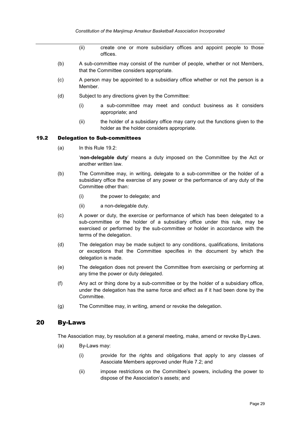- (ii) create one or more subsidiary offices and appoint people to those offices.
- (b) A sub-committee may consist of the number of people, whether or not Members, that the Committee considers appropriate.
- (c) A person may be appointed to a subsidiary office whether or not the person is a Member.
- (d) Subject to any directions given by the Committee:
	- (i) a sub-committee may meet and conduct business as it considers appropriate; and
	- (ii) the holder of a subsidiary office may carry out the functions given to the holder as the holder considers appropriate.

#### <span id="page-33-0"></span>19.2 Delegation to Sub-committees

 $(a)$  In this Rule [19.2:](#page-33-0)

'**non-delegable duty**' means a duty imposed on the Committee by the Act or another written law.

- (b) The Committee may, in writing, delegate to a sub-committee or the holder of a subsidiary office the exercise of any power or the performance of any duty of the Committee other than:
	- (i) the power to delegate; and
	- (ii) a non-delegable duty.
- (c) A power or duty, the exercise or performance of which has been delegated to a sub-committee or the holder of a subsidiary office under this rule, may be exercised or performed by the sub-committee or holder in accordance with the terms of the delegation.
- (d) The delegation may be made subject to any conditions, qualifications, limitations or exceptions that the Committee specifies in the document by which the delegation is made.
- (e) The delegation does not prevent the Committee from exercising or performing at any time the power or duty delegated.
- (f) Any act or thing done by a sub-committee or by the holder of a subsidiary office, under the delegation has the same force and effect as if it had been done by the Committee.
- (g) The Committee may, in writing, amend or revoke the delegation.

#### <span id="page-33-1"></span>20 By-Laws

The Association may, by resolution at a general meeting, make, amend or revoke By-Laws.

- <span id="page-33-2"></span>(a) By-Laws may:
	- (i) provide for the rights and obligations that apply to any classes of Associate Members approved under Rule [7.2;](#page-11-3) and
	- (ii) impose restrictions on the Committee's powers, including the power to dispose of the Association's assets; and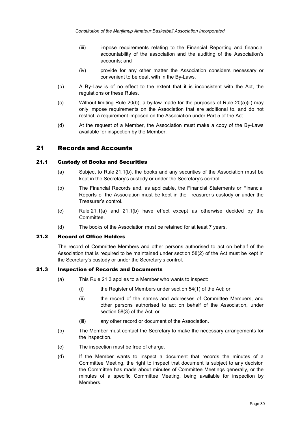- (iii) impose requirements relating to the Financial Reporting and financial accountability of the association and the auditing of the Association's accounts; and
- (iv) provide for any other matter the Association considers necessary or convenient to be dealt with in the By-Laws.
- (b) A By-Law is of no effect to the extent that it is inconsistent with the Act, the regulations or these Rules.
- $(c)$  Without limiting Rule [20\(b\),](#page-33-1) a by-law made for the purposes of Rule [20\(a\)\(ii\)](#page-33-2) may only impose requirements on the Association that are additional to, and do not restrict, a requirement imposed on the Association under Part 5 of the Act.
- (d) At the request of a Member, the Association must make a copy of the By-Laws available for inspection by the Member.

## <span id="page-34-0"></span>21 Records and Accounts

#### <span id="page-34-5"></span><span id="page-34-1"></span>21.1 Custody of Books and Securities

- (a) Subject to Rule [21.1\(b\),](#page-34-4) the books and any securities of the Association must be kept in the Secretary's custody or under the Secretary's control.
- <span id="page-34-4"></span>(b) The Financial Records and, as applicable, the Financial Statements or Financial Reports of the Association must be kept in the Treasurer's custody or under the Treasurer's control.
- (c) Rule [21.1\(a\)](#page-34-5) and [21.1\(b\)](#page-34-4) have effect except as otherwise decided by the Committee.
- (d) The books of the Association must be retained for at least 7 years.

#### <span id="page-34-2"></span>21.2 Record of Office Holders

The record of Committee Members and other persons authorised to act on behalf of the Association that is required to be maintained under section 58(2) of the Act must be kept in the Secretary's custody or under the Secretary's control.

#### <span id="page-34-3"></span>21.3 Inspection of Records and Documents

- (a) This Rule [21.3](#page-34-3) applies to a Member who wants to inspect:
	- (i) the Register of Members under section 54(1) of the Act; or
	- (ii) the record of the names and addresses of Committee Members, and other persons authorised to act on behalf of the Association, under section 58(3) of the Act; or
	- (iii) any other record or document of the Association.
- <span id="page-34-6"></span>(b) The Member must contact the Secretary to make the necessary arrangements for the inspection.
- (c) The inspection must be free of charge.
- (d) If the Member wants to inspect a document that records the minutes of a Committee Meeting, the right to inspect that document is subject to any decision the Committee has made about minutes of Committee Meetings generally, or the minutes of a specific Committee Meeting, being available for inspection by **Members**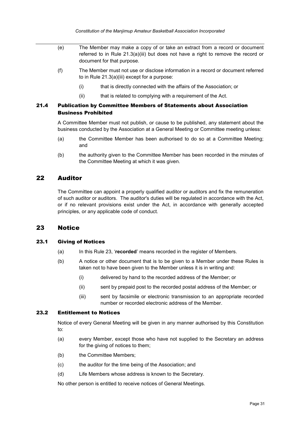- (e) The Member may make a copy of or take an extract from a record or document referred to in Rule [21.3\(a\)\(iii\)](#page-34-6) but does not have a right to remove the record or document for that purpose.
- (f) The Member must not use or disclose information in a record or document referred to in Rule [21.3\(a\)\(iii\)](#page-34-6) except for a purpose:
	- (i) that is directly connected with the affairs of the Association; or
	- (ii) that is related to complying with a requirement of the Act.

## <span id="page-35-0"></span>21.4 Publication by Committee Members of Statements about Association Business Prohibited

A Committee Member must not publish, or cause to be published, any statement about the business conducted by the Association at a General Meeting or Committee meeting unless:

- (a) the Committee Member has been authorised to do so at a Committee Meeting; and
- (b) the authority given to the Committee Member has been recorded in the minutes of the Committee Meeting at which it was given.

## <span id="page-35-1"></span>22 Auditor

The Committee can appoint a properly qualified auditor or auditors and fix the remuneration of such auditor or auditors. The auditor's duties will be regulated in accordance with the Act, or if no relevant provisions exist under the Act, in accordance with generally accepted principles, or any applicable code of conduct.

## <span id="page-35-2"></span>23 Notice

#### <span id="page-35-3"></span>23.1 Giving of Notices

- (a) In this Rule [23,](#page-35-2) '**recorded**' means recorded in the register of Members.
- (b) A notice or other document that is to be given to a Member under these Rules is taken not to have been given to the Member unless it is in writing and:
	- (i) delivered by hand to the recorded address of the Member; or
	- (ii) sent by prepaid post to the recorded postal address of the Member; or
	- (iii) sent by facsimile or electronic transmission to an appropriate recorded number or recorded electronic address of the Member.

#### <span id="page-35-4"></span>23.2 Entitlement to Notices

Notice of every General Meeting will be given in any manner authorised by this Constitution to:

- (a) every Member, except those who have not supplied to the Secretary an address for the giving of notices to them;
- (b) the Committee Members;
- (c) the auditor for the time being of the Association; and
- (d) Life Members whose address is known to the Secretary.

No other person is entitled to receive notices of General Meetings.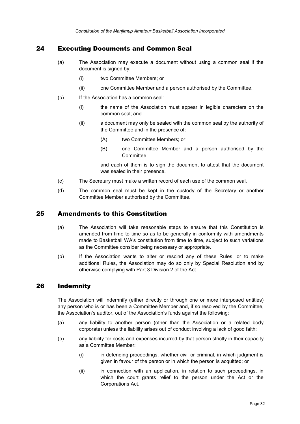## <span id="page-36-0"></span>24 Executing Documents and Common Seal

- (a) The Association may execute a document without using a common seal if the document is signed by:
	- (i) two Committee Members; or
	- (ii) one Committee Member and a person authorised by the Committee.
- (b) If the Association has a common seal:
	- (i) the name of the Association must appear in legible characters on the common seal; and
	- (ii) a document may only be sealed with the common seal by the authority of the Committee and in the presence of:
		- (A) two Committee Members; or
		- (B) one Committee Member and a person authorised by the Committee,

and each of them is to sign the document to attest that the document was sealed in their presence.

- (c) The Secretary must make a written record of each use of the common seal.
- (d) The common seal must be kept in the custody of the Secretary or another Committee Member authorised by the Committee.

## <span id="page-36-1"></span>25 Amendments to this Constitution

- (a) The Association will take reasonable steps to ensure that this Constitution is amended from time to time so as to be generally in conformity with amendments made to Basketball WA's constitution from time to time, subject to such variations as the Committee consider being necessary or appropriate.
- (b) If the Association wants to alter or rescind any of these Rules, or to make additional Rules, the Association may do so only by Special Resolution and by otherwise complying with Part 3 Division 2 of the Act.

## <span id="page-36-2"></span>26 Indemnity

The Association will indemnify (either directly or through one or more interposed entities) any person who is or has been a Committee Member and, if so resolved by the Committee, the Association's auditor, out of the Association's funds against the following:

- (a) any liability to another person (other than the Association or a related body corporate) unless the liability arises out of conduct involving a lack of good faith;
- (b) any liability for costs and expenses incurred by that person strictly in their capacity as a Committee Member:
	- (i) in defending proceedings, whether civil or criminal, in which judgment is given in favour of the person or in which the person is acquitted; or
	- (ii) in connection with an application, in relation to such proceedings, in which the court grants relief to the person under the Act or the Corporations Act.